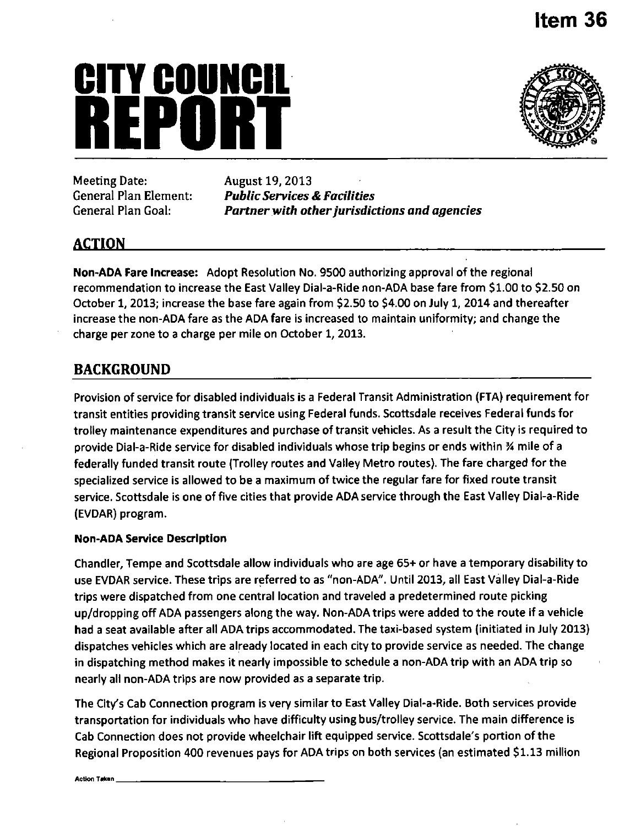### **Item 36**

# **CITY COUNCIL**  Meeting Date: August 19, 2013



Meeting Date: August 19, 2013<br>General Plan Element: Public Services

*General Plan Element: Public Services & Facilities Partner with other jurisdictions and agencies* 

#### **ACTION**

Non-ADA Fare Increase: Adopt Resolution No. 9500 authorizing approval ofthe regional recommendation to increase the East Valley Dial-a-Ride non-ADA base fare from \$1.00 to \$2.50 on October 1, 2013; increase the base fare again from \$2.50 to \$4.00 on July 1, 2014 and thereafter increase the non-ADA fare as the ADA fare is increased to maintain uniformity; and change the charge per zone to a charge per mile on October 1, 2013.

#### **BACKGROUND**

Provision of service for disabled individuals is a Federal Transit Administration (FTA) requirement for transit entities providing transit service using Federal funds. Scottsdale receives Federal funds for trolley maintenance expenditures and purchase of transit vehicles. As a result the City is required to provide Dial-a-Ride service for disabled individuals whose trip begins or ends within % mile of a federally funded transit route (Trolley routes and Valley Metro routes). The fare charged for the specialized service is allowed to be a maximum of twice the regular fare for fixed route transit service. Scottsdale is one of five cities that provide ADA service through the East Valley Dial-a-Ride (EVDAR) program.

#### **Non-ADA Service Description**

Chandler, Tempe and Scottsdale allow individuals who are age 65+ or have a temporary disability to use EVDAR service. These trips are referred to as "non-ADA". Until 2013, all East Valley Dial-a-Ride trips were dispatched from one central location and traveled a predetermined route picking up/dropping off ADA passengers along the way. Non-ADA trips were added to the route if a vehicle had a seat available after all ADA trips accommodated. The taxi-based system (initiated in July 2013) dispatches vehicles which are already located in each city to provide service as needed. The change in dispatching method makes it nearly impossible to schedule a non-ADA trip with an ADA trip so nearly all non-ADA trips are now provided as a separate trip.

The City's Cab Connection program is very similar to East Valley Dial-a-Ride. Both services provide transportation for individuals who have difficulty using bus/trolley service. The main difference is Cab Connection does not provide wheelchair lift equipped service. Scottsdale's portion of the Regional Proposition 400 revenues pays for ADA trips on both services (an estimated \$1.13 million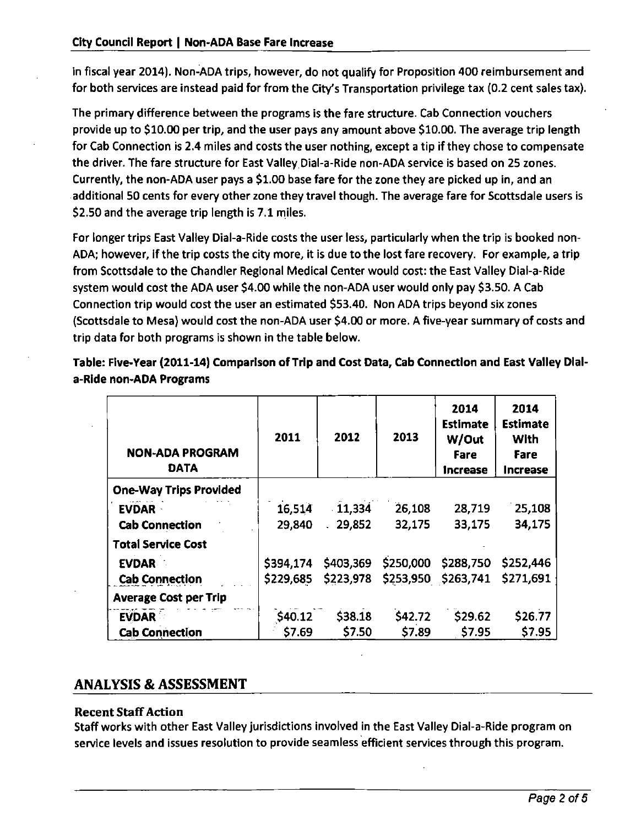in fiscal year 2014). Non-ADA trips, however, do not qualify for Proposition 400 reimbursement and for both services are instead paid for from the City's Transportation privilege tax (0.2 cent sales tax).

The primary difference between the programs is the fare structure. Cab Connection vouchers provide up to \$10.00 per trip, and the user pays any amount above \$10.00. The average trip length for Cab Connection is 2.4 miles and costs the user nothing, except a tip if they chose to compensate the driver. The fare structure for East Valley Dial-a-Ride non-ADA service is based on 25 zones. Currently, the non-ADA user pays a \$1.00 base fare for the zone they are picked up in, and an additional 50 cents for every other zone they travel though. The average fare for Scottsdale users is \$2.50 and the average trip length is 7.1 miles.

For longer trips East Valley Dial-a-Ride costs the user less, particularly when the trip is booked non-ADA; however, if the trip costs the city more, it is due to the lost fare recovery. For example, a trip from Scottsdale to the Chandler Regional Medical Center would cost: the East Valley Dial-a-Ride system would cost the ADA user \$4.00 while the non-ADA user would only pay \$3.50. A Cab Connection trip would cost the user an estimated \$53.40. Non ADA trips beyond six zones (Scottsdale to Mesa) would cost the non-ADA user \$4.00 or more. A five-year summary of costs and trip data for both programs is shown in the table below.

| <b>NON-ADA PROGRAM</b><br><b>DATA</b> | 2011      | 2012      | 2013      | 2014<br><b>Estimate</b><br>W/Out<br>Fare<br><b>Increase</b> | 2014<br><b>Estimate</b><br>With<br>Fare<br>Increase |
|---------------------------------------|-----------|-----------|-----------|-------------------------------------------------------------|-----------------------------------------------------|
| <b>One-Way Trips Provided</b>         |           |           |           |                                                             |                                                     |
| <b>EVDAR</b>                          | 16,514    | 11,334    | 26,108    | 28,719                                                      | 25,108                                              |
| <b>Cab Connection</b>                 | 29,840    | 29,852    | 32,175    | 33.175                                                      | 34,175                                              |
| <b>Total Service Cost</b>             |           |           |           |                                                             |                                                     |
| <b>EVDAR</b>                          | \$394,174 | \$403,369 | \$250,000 | \$288,750                                                   | \$252,446                                           |
| <b>Cab Connection</b>                 | \$229,685 | \$223,978 | \$253,950 | \$263,741                                                   | \$271,691                                           |
| <b>Average Cost per Trip</b>          |           |           |           |                                                             |                                                     |
| <b>EVDAR</b>                          | \$40.12   | \$38.18   | \$42.72   | \$29.62                                                     | \$26.77                                             |
| <b>Cab Connection</b>                 | 57.69     | \$7.50    | \$7.89    | \$7.95                                                      | \$7.95                                              |

**Table: FIve-Year (2011-14) Comparison of Trip and Cost Data, Cab Connection and East Valley Diala-Rlde non-ADA Programs** 

#### **ANALYSIS & ASSESSMENT**

#### **Recent Staff Action**

Staff works with other East Valley jurisdictions involved in the East Valley Dial-a-Ride program on service levels and issues resolution to provide seamless efficient services through this program.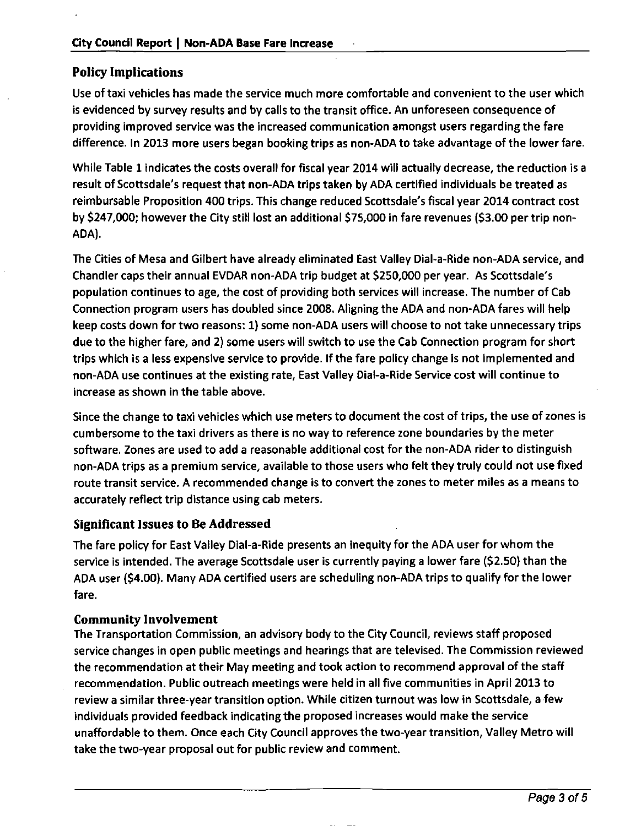#### **Policy Implications**

Use of taxi vehicles has made the service much more comfortable and convenient to the user which is evidenced by survey results and by calls to the transit office. An unforeseen consequence of providing improved service was the increased communication amongst users regarding the fare difference. In 2013 more users began booking trips as non-ADA to take advantage of the lower fare.

While Table 1 indicates the costs overall for fiscal year 2014 wili actually decrease, the reduction is a result of Scottsdale's request that non-ADA trips taken by ADA certified individuals be treated as reimbursable Proposition 400 trips. This change reduced Scottsdale's fiscal year 2014 contract cost by \$247,000; however the City still lost an additional \$75,000 in fare revenues (\$3.00 per trip non-ADA).

The Cities of Mesa and Gilbert have already eliminated East Valley Dial-a-Ride non-ADA service, and Chandler caps their annual EVDAR non-ADA trip budget at \$250,000 per year. As Scottsdale's population continues to age, the cost of providing both services will increase. The number of Cab Connection program users has doubled since 2008. Aligning the ADA and non-ADA fares will help keep costs down for two reasons: 1) some non-ADA users will choose to not take unnecessary trips due to the higher fare, and 2) some users will switch to use the Cab Connection program for short trips which is a less expensive service to provide. If the fare policy change is not implemented and non-ADA use continues at the existing rate, East Valley Dial-a-Ride Service cost will continue to increase as shown in the table above.

Since the change to taxi vehicles which use meters to document the cost of trips, the use of zones is cumbersome to the taxi drivers as there is no way to reference zone boundaries by the meter software. Zones are used to add a reasonable additional cost for the non-ADA rider to distinguish non-ADA trips as a premium service, available to those users who felt they truly could not use fixed route transit service. A recommended change is to convert the zones to meter miles as a means to accurately reflect trip distance using cab meters.

#### **Significant Issues to Be Addressed**

The fare policy for East Valley Dial-a-Ride presents an inequity for the ADA user for whom the service is intended. The average Scottsdale user is currently paying a lower fare (\$2.50) than the ADA user (\$4.00). Many ADA certified users are scheduling non-ADA trips to qualify for the lower fare.

#### **Community Involvement**

The Transportation Commission, an advisory body to the City Council, reviews staff proposed service changes in open public meetings and hearings that are televised. The Commission reviewed the recommendation at their May meeting and took action to recommend approval of the staff recommendation. Public outreach meetings were held in all five communities in April 2013 to review a similar three-year transition option. While citizen turnout was low in Scottsdale, a few individuals provided feedback indicating the proposed increases would make the service unaffordable to them. Once each City Council approves the two-year transition, Valley Metro will take the two-year proposal out for public review and comment.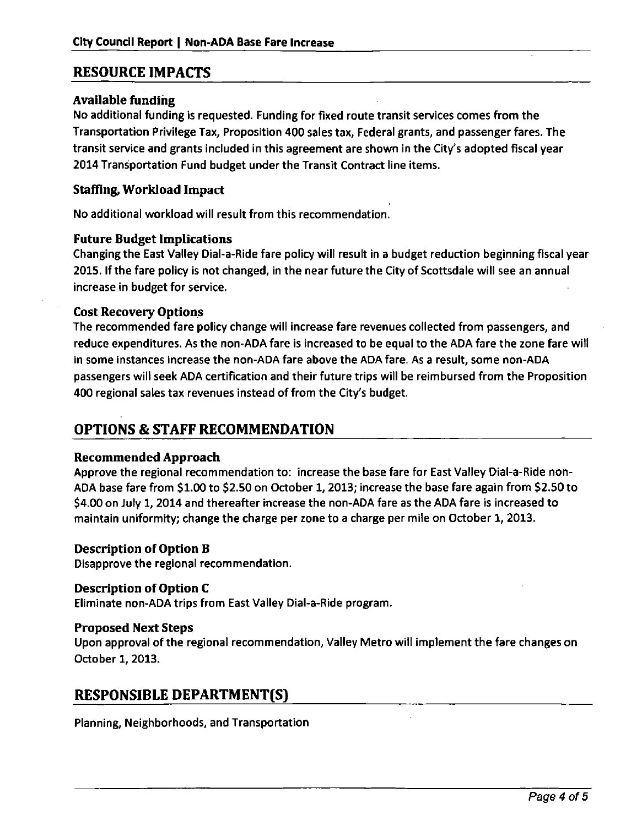#### **RESOURCE IMPACTS**

#### Available funding

No additional funding is requested. Funding for fixed route transit services comes from the Transportation Privilege Tax, Proposition 400 sales tax. Federal grants, and passenger fares. The transit service and grants included in this agreement are shown in the City's adopted fiscal year 2014 Transportation Fund budget under the Transit Contract line items.

#### **Staffing, Workload Impact**

**No additional workload will result from this recommendation.** 

#### **Future Budget Implications**

Changing the East Valley Dial-a-Ride fare policy will result in a budget reduction beginning fiscal year 2015. If the fare policy is not changed, in the near future the City of Scottsdale wilt see an annual increase in budget for service.

#### Cost Recovery Options

The recommended fare policy change will increase fare revenues collected from passengers, and reduce expenditures. As the non-ADA fare is increased to be equal to the ADA fare the zone fare will in some instances increase the non-ADA fare above the ADA fare. As a result, some non-ADA passengers wili seek ADA certification and their future trips will be reimbursed from the Proposition 400 regional sales tax revenues instead of from the City's budget.

#### **OPTIONS & STAFF RECOMMENDATION**

#### Recommended Approach

Approve the regional recommendation to: increase the base fare for East Valley Dial-a-Ride non-ADA base fare from \$1.00 to \$2.50 on October 1, 2013; increase the base fare again from \$2.50 to \$4.00 on July 1, 2014 and thereafter increase the non-ADA fare as the ADA fare is increased to maintain uniformity; change the charge per zone to a charge per mile on October 1, 2013.

#### Description of Option B

Disapprove the regional recommendation.

#### Description of Option C

**Eliminate non-ADA trips from East Valley Dial-a-Ride program.** 

**Proposed Next Steps**<br>Upon approval of the regional recommendation, Valley Metro will implement the fare changes on October 1, 2013.

#### **RESPONSIBLE DEPARTMENT(S)**

Planning, Neighborhoods, and Transportation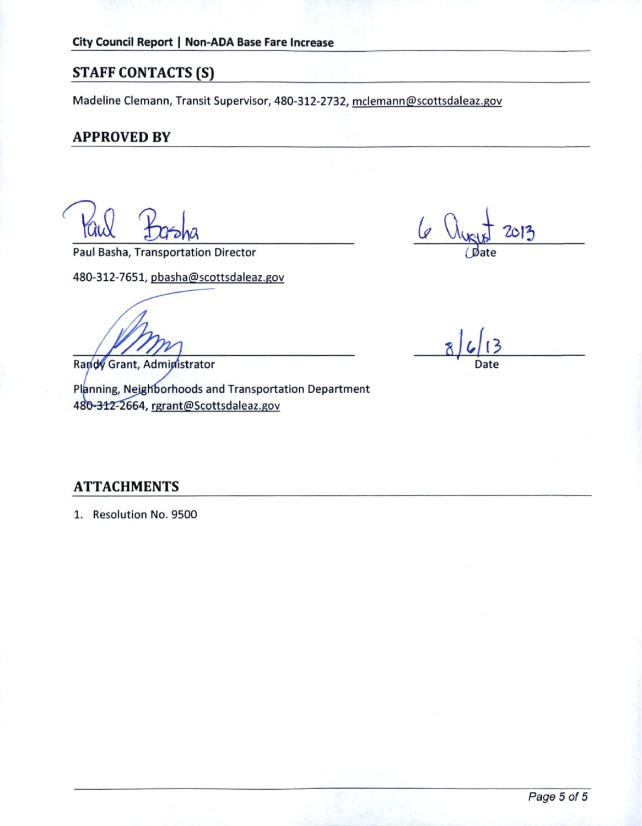#### **STAFF CONTACTS (S)**

Madeline Clemann, Transit Supervisor, 480-312-2732, mclemann@scottsdaleaz.gov

#### **APPROVED BY**

Paul Basha, Transportation Director

480-312-7651, pbasha@scottsdaleaz.gov

Randy Grant, Administrator

Planning, Neighborhoods and Transportation Department 480-312-2664, rgrant@Scottsdaleaz.gov

2013

Date

#### **ATTACHMENTS**

1. Resolution No. 9500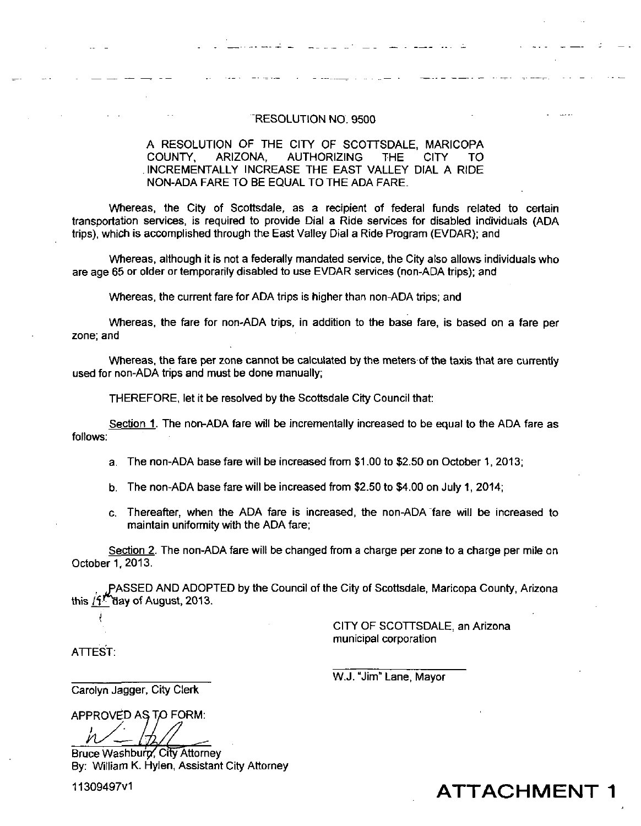#### RESOLUTION NO. 9500

#### A RESOLUTION OF THE CITY OF SCOTTSDALE, MARICOPA COUNTY, ARIZONA, AUTHORIZING THE CITY TO INCREMENTALLY INCREASE THE EAST VALLEY DIAL A RIDE NON-ADA FARE TO BE EQUAL TO THE ADA FARE.

Whereas, the City of Scottsdale, as a recipient of federal funds related to certain transportation services, is required to provide Dial a Ride services for disabled individuals (ADA trips), which is accomplished through the East Valley Dial a Ride Program (EVDAR); and

Whereas, although it is not a federally mandated service, the City also allows individuals who are age 66 or older or temporarily disabled to use EVDAR services (non-ADA trips); and

Whereas, the current fare for ADA trips is higher than non-ADA trips; and

Whereas, the fare for non-ADA trips, in addition to the base fare, is based on a fare per zone; and

Whereas, the fare per zone cannot be calculated by the meters of the taxis that are currently used for non-ADA trips and must be done manually;

THEREFORE, let it be resolved by the Scottsdale City Council that:

Section 1. The non-ADA fare will be incrementally increased to be equal to the ADA fare as follows:

a. The non-ADA base fare will be increased from \$1.00 to \$2.50 on October 1, 2013;

b. The non-ADA base fare will be increased from \$2.50 to \$4.00 on July 1, 2014;

c. Thereafter, when the ADA fare is increased, the non-ADA Tare will be increased to maintain uniformity with the ADA fare;

Section 2. The non-ADA fare will be changed from a charge per zone to a charge per mile on October 1,2013.

, PASSED AND ADOPTED by the Council of the City of Scottsdale, Maricopa County, Arizona<br>this  $\frac{f_1P}{1}$  day of August, 2013. Yaay of August, 2013.

> CITY OF SCOTTSDALE, an Arizona municipal corporation

ATTEST:

W.J. "Jim" Lane, Mayor

Carolyn Jagger, City Clerk

APPROVED AS TO FORM:

Bruce Washburn, City Attorney By: William K. Hylen, Assistant City Attorney

11309497v1 **ATTACHMENT**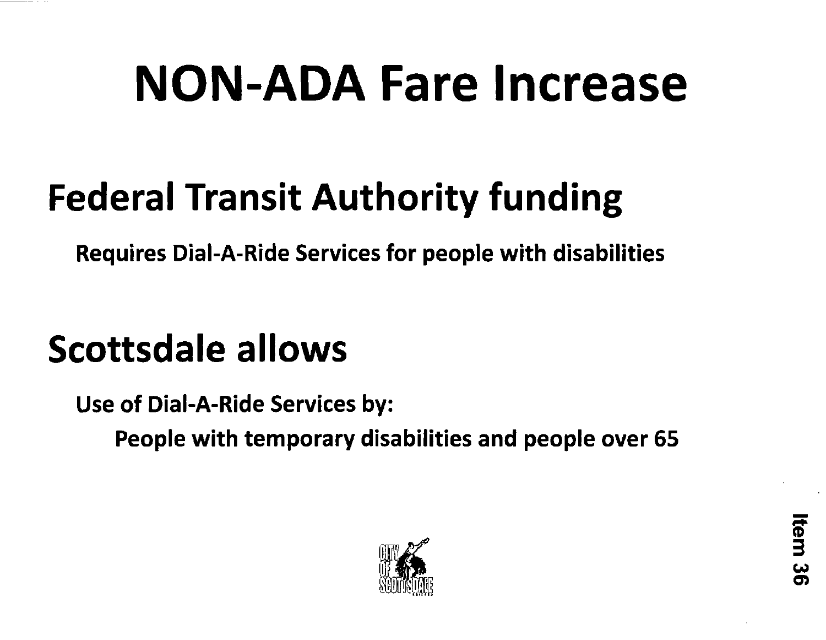# **NON-ADA Fare Increase**

## **Federal Transit Authority funding**

**Requires Dial-A-Ride Services for people with disabilities** 

## **Scottsdale allows**

**Use of Dial-A-Ride Services by:** 

**People with temporary disabilities and people over 65** 

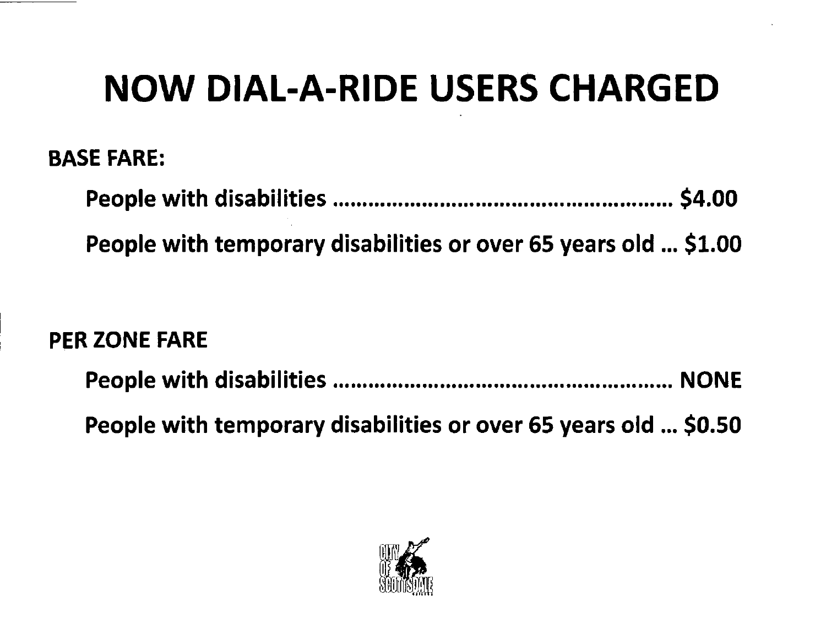## **NOW DIAL-A-RIDE USERS CHARGED**

## **BASE FARE:**

| People with temporary disabilities or over 65 years old  \$1.00 |  |
|-----------------------------------------------------------------|--|

## **PER ZONE FARE**

| People with temporary disabilities or over 65 years old  \$0.50 |  |
|-----------------------------------------------------------------|--|

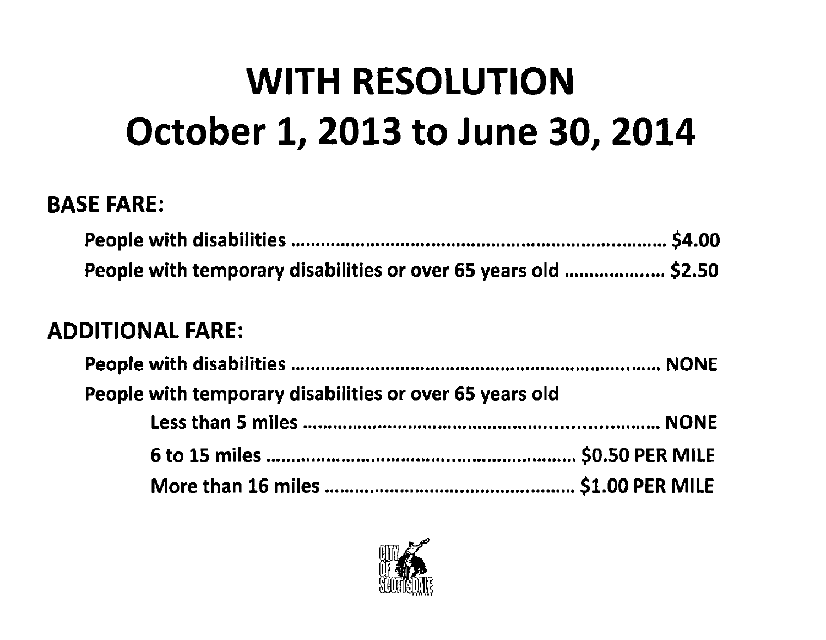## **WITH RESOLUTION October 1, 2013 to June 30, 2014**

## **BASE FARE:**

| People with temporary disabilities or over 65 years old  \$2.50 |  |
|-----------------------------------------------------------------|--|

## **ADDITIONAL FARE:**

| People with temporary disabilities or over 65 years old |  |
|---------------------------------------------------------|--|
|                                                         |  |
|                                                         |  |
|                                                         |  |

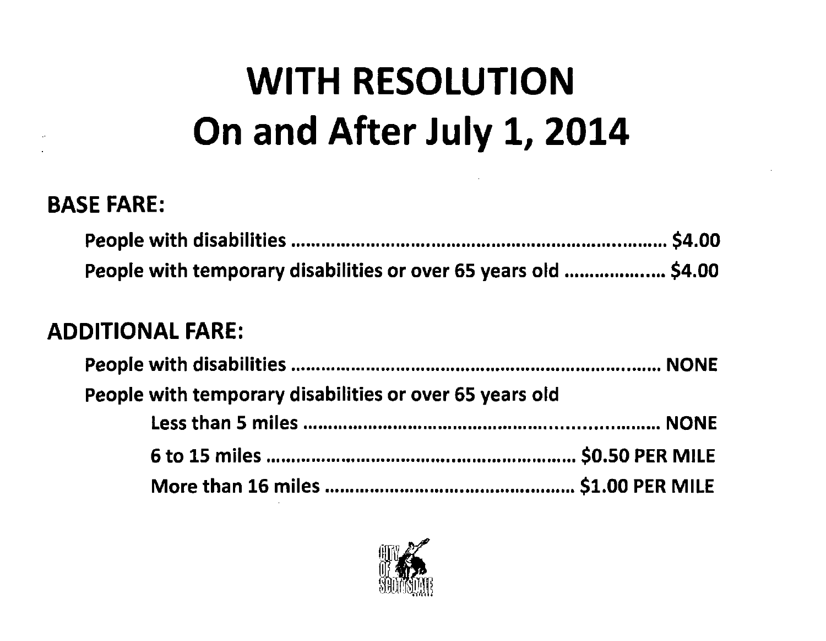## **WITH RESOLUTION On and After July 1, 2014**

## **BASE FARE:**

| People with temporary disabilities or over 65 years old  \$4.00 |  |
|-----------------------------------------------------------------|--|

## **ADDITIONAL FARE:**

| People with temporary disabilities or over 65 years old |  |
|---------------------------------------------------------|--|
|                                                         |  |
|                                                         |  |
|                                                         |  |

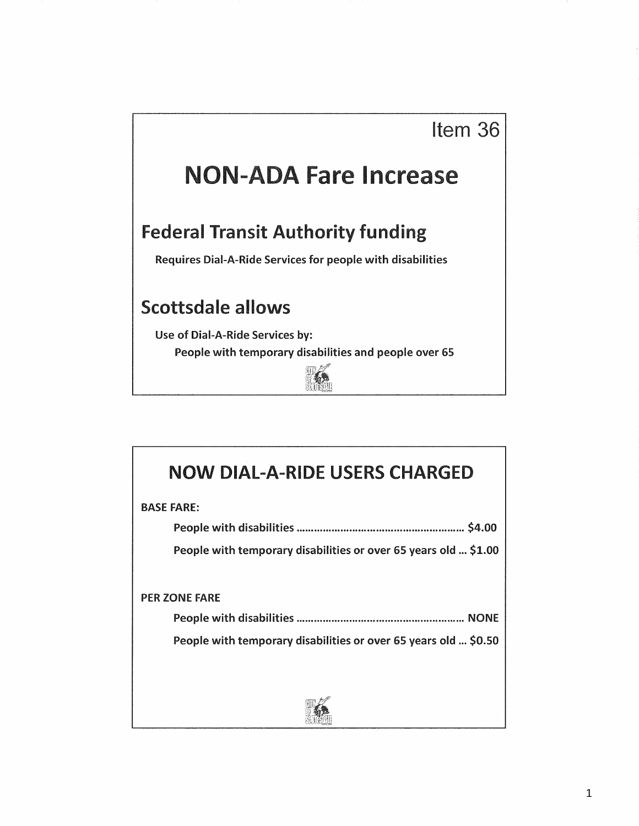## **NON-ADA Fare Increase**

### **Federal Transit Authority funding**

Requires Dial-A-Ride Services for people with disabilities

### **Scottsdale allows**

Use of Dial-A-Ride Services by:

People with temporary disabilities and people over 65



| <b>NOW DIAL-A-RIDE USERS CHARGED</b>                            |
|-----------------------------------------------------------------|
| <b>BASE FARE:</b>                                               |
|                                                                 |
| People with temporary disabilities or over 65 years old  \$1.00 |
|                                                                 |
| <b>PER ZONE FARE</b>                                            |
|                                                                 |
| People with temporary disabilities or over 65 years old  \$0.50 |
|                                                                 |
|                                                                 |
|                                                                 |